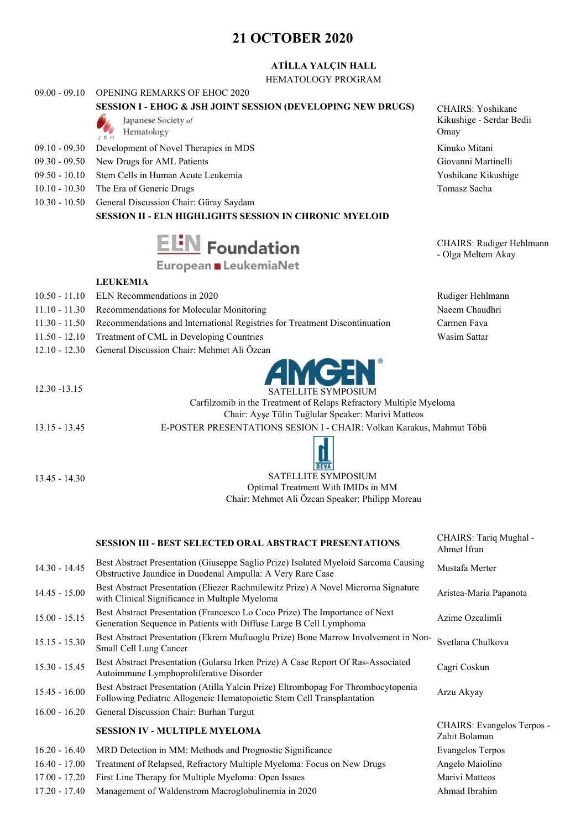# **21 OCTOBER 2020**

## **ATİLLA YALÇIN HALL**

HEMATOLOGY PROGRAM

#### 09.00 - 09.10 OPENING REMARKS OF EHOC 2020

## **SESSION I - EHOG & JSH JOINT SESSION (DEVELOPING NEW DRUGS)** CHAIRS: Yoshikane

- Japanese Society of Hematology
- JSH 09.10 - 09.30 Development of Novel Therapies in MDS Kinuko Mitani
- 
- 
- 09.50 10.10 Stem Cells in Human Acute Leukemia Yoshikane Kikushige
- 10.10 10.30 The Era of Generic Drugs Tomasz Sacha
- 10.30 10.50 General Discussion Chair: Güray Saydam

## **SESSION II - ELN HIGHLIGHTS SESSION IN CHRONIC MYELOID**



# European LeukemiaNet

#### **LEUKEMIA**

- 10.50 11.10 ELN Recommendations in 2020 Rudiger Hehlmann
- 11.10 11.30 Recommendations for Molecular Monitoring Naeem Chaudhri
- 11.30 11.50 Recommendations and International Registries for Treatment Discontinuation Carmen Fava
- 11.50 12.10 Treatment of CML in Developing Countries Wasim Sattar
- 12.10 12.30 General Discussion Chair: Mehmet Ali Özcan



Carfilzomib in the Treatment of Relaps Refractory Multiple Myeloma Chair: Ayşe Tülin Tuğlular Speaker: Marivi Matteos

13.15 - 13.45 E-POSTER PRESENTATIONS SESION I - CHAIR: Volkan Karakus, Mahmut Töbü



# 13.45 - 14.30 SATELLITE SYMPOSIUM Optimal Treatment With IMIDs in MM Chair: Mehmet Ali Özcan Speaker: Philipp Moreau

|                 | <b>SESSION III - BEST SELECTED ORAL ABSTRACT PRESENTATIONS</b>                                                                                              | CHAIRS: Tariq Mughal -<br>Ahmet Ifran       |
|-----------------|-------------------------------------------------------------------------------------------------------------------------------------------------------------|---------------------------------------------|
| $14.30 - 14.45$ | Best Abstract Presentation (Giuseppe Saglio Prize) Isolated Myeloid Sarcoma Causing<br>Obstructive Jaundice in Duodenal Ampulla: A Very Rare Case           | Mustafa Merter                              |
| $14.45 - 15.00$ | Best Abstract Presentation (Eliezer Rachmilewitz Prize) A Novel Microrna Signature<br>with Clinical Significance in Multiple Myeloma                        | Aristea-Maria Papanota                      |
| $15.00 - 15.15$ | Best Abstract Presentation (Francesco Lo Coco Prize) The Importance of Next<br>Generation Sequence in Patients with Diffuse Large B Cell Lymphoma           | Azime Ozcalimli                             |
| $15.15 - 15.30$ | Best Abstract Presentation (Ekrem Muftuoglu Prize) Bone Marrow Involvement in Non-<br>Small Cell Lung Cancer                                                | Svetlana Chulkova                           |
| $15.30 - 15.45$ | Best Abstract Presentation (Gularsu Irken Prize) A Case Report Of Ras-Associated<br>Autoimmune Lymphoproliferative Disorder                                 | Cagri Coskun                                |
| $15.45 - 16.00$ | Best Abstract Presentation (Atilla Yalcin Prize) Eltrombopag For Thrombocytopenia<br>Following Pediatric Allogeneic Hematopoietic Stem Cell Transplantation | Arzu Akyay                                  |
| $16.00 - 16.20$ | General Discussion Chair: Burhan Turgut                                                                                                                     |                                             |
|                 | <b>SESSION IV - MULTIPLE MYELOMA</b>                                                                                                                        | CHAIRS: Evangelos Terpos -<br>Zahit Bolaman |
| $16.20 - 16.40$ | MRD Detection in MM: Methods and Prognostic Significance                                                                                                    | <b>Evangelos Terpos</b>                     |
| $16.40 - 17.00$ | Treatment of Relapsed, Refractory Multiple Myeloma: Focus on New Drugs                                                                                      | Angelo Maiolino                             |
| 17.00 - 17.20   | First Line Therapy for Multiple Myeloma: Open Issues                                                                                                        | Marivi Matteos                              |
| 17.20 - 17.40   | Management of Waldenstrom Macroglobulinemia in 2020                                                                                                         | Ahmad Ibrahim                               |

Kikushige - Serdar Bedii Omay

09.30 - 09.50 New Drugs for AML Patients Giovanni Martinelli

CHAIRS: Rudiger Hehlmann - Olga Meltem Akay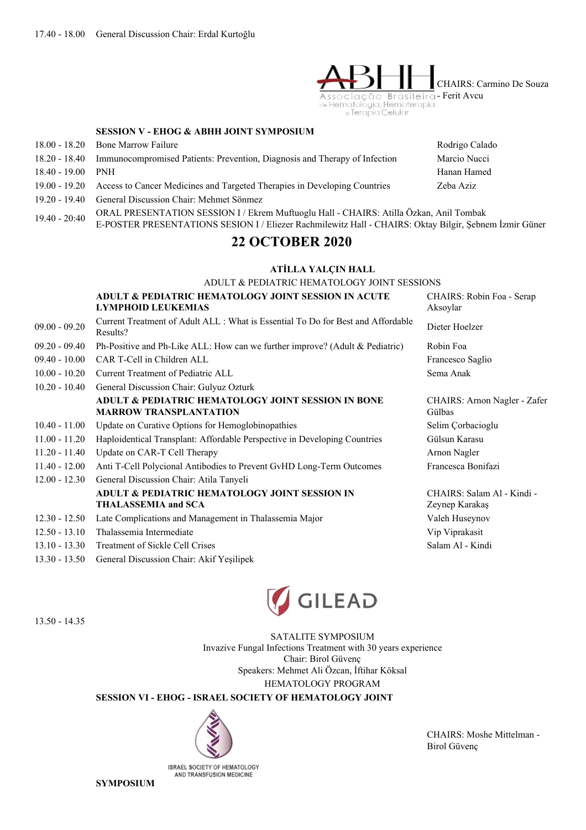

#### **SESSION V - EHOG & ABHH JOINT SYMPOSIUM**

|               | 18.00 - 18.20 Bone Marrow Failure                                          | Rodrigo Calado |
|---------------|----------------------------------------------------------------------------|----------------|
| 18.20 - 18.40 | Immunocompromised Patients: Prevention, Diagnosis and Therapy of Infection | Marcio Nucci   |
| 18.40 - 19.00 | PNH                                                                        | Hanan Hamed    |
| 19.00 - 19.20 | Access to Cancer Medicines and Targeted Therapies in Developing Countries  | Zeba Aziz      |
| 19.20 - 19.40 | General Discussion Chair: Mehmet Sönmez                                    |                |
|               |                                                                            |                |

19.40 - 20:40 ORAL PRESENTATION SESSION <sup>I</sup> / Ekrem Muftuoglu Hall - CHAIRS: Atilla Özkan, Anil Tombak E-POSTER PRESENTATIONS SESION I / Eliezer Rachmilewitz Hall - CHAIRS: Oktay Bilgir, Şebnem İzmir Güner

# **22 OCTOBER 2020**

#### **ATİLLA YALÇIN HALL**

ADULT & PEDIATRIC HEMATOLOGY JOINT SESSIONS

|                 | ADULT & PEDIATRIC HEMATOLOGY JOINT SESSION IN ACUTE                                            | CHAIRS: Robin Foa - Serap                    |
|-----------------|------------------------------------------------------------------------------------------------|----------------------------------------------|
|                 | <b>LYMPHOID LEUKEMIAS</b>                                                                      | Aksoylar                                     |
| $09.00 - 09.20$ | Current Treatment of Adult ALL : What is Essential To Do for Best and Affordable<br>Results?   | Dieter Hoelzer                               |
| $09.20 - 09.40$ | Ph-Positive and Ph-Like ALL: How can we further improve? (Adult & Pediatric)                   | Robin Foa                                    |
| $09.40 - 10.00$ | CAR T-Cell in Children ALL                                                                     | Francesco Saglio                             |
| $10.00 - 10.20$ | Current Treatment of Pediatric ALL                                                             | Sema Anak                                    |
| $10.20 - 10.40$ | General Discussion Chair: Gulyuz Ozturk                                                        |                                              |
|                 | <b>ADULT &amp; PEDIATRIC HEMATOLOGY JOINT SESSION IN BONE</b><br><b>MARROW TRANSPLANTATION</b> | CHAIRS: Arnon Nagler - Zafer<br>Gülbas       |
| $10.40 - 11.00$ | Update on Curative Options for Hemoglobinopathies                                              | Selim Corbacioglu                            |
| $11.00 - 11.20$ | Haploidentical Transplant: Affordable Perspective in Developing Countries                      | Gülsun Karasu                                |
| $11.20 - 11.40$ | Update on CAR-T Cell Therapy                                                                   | Arnon Nagler                                 |
| $11.40 - 12.00$ | Anti T-Cell Polycional Antibodies to Prevent GvHD Long-Term Outcomes                           | Francesca Bonifazi                           |
| $12.00 - 12.30$ | General Discussion Chair: Atila Tanyeli                                                        |                                              |
|                 | ADULT & PEDIATRIC HEMATOLOGY JOINT SESSION IN<br><b>THALASSEMIA and SCA</b>                    | CHAIRS: Salam Al - Kindi -<br>Zeynep Karakaş |
| $12.30 - 12.50$ | Late Complications and Management in Thalassemia Major                                         | Valeh Huseynov                               |
| $12.50 - 13.10$ | Thalassemia Intermediate                                                                       | Vip Viprakasit                               |
| $13.10 - 13.30$ | <b>Treatment of Sickle Cell Crises</b>                                                         | Salam Al - Kindi                             |

13.30 - 13.50 General Discussion Chair: Akif Yeşilipek



13.50 - 14.35

SATALITE SYMPOSIUM Invazive Fungal Infections Treatment with 30 years experience Chair: Birol Güvenç Speakers: Mehmet Ali Özcan, İftihar Köksal HEMATOLOGY PROGRAM

**SESSION VI - EHOG - ISRAEL SOCIETY OF HEMATOLOGY JOINT**



ISRAEL SOCIETY OF HEMATOLOGY AND TRANSFUSION MEDICINE

CHAIRS: Moshe Mittelman - Birol Güvenç

**SYMPOSIUM**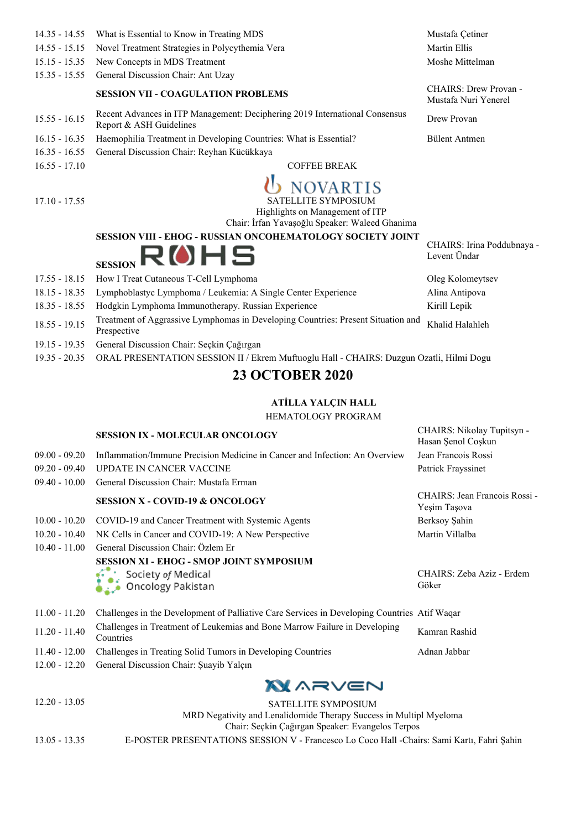| $14.35 - 14.55$ | What is Essential to Know in Treating MDS                                                                           | Mustafa Çetiner                               |
|-----------------|---------------------------------------------------------------------------------------------------------------------|-----------------------------------------------|
| $14.55 - 15.15$ | Novel Treatment Strategies in Polycythemia Vera                                                                     | <b>Martin Ellis</b>                           |
| $15.15 - 15.35$ | New Concepts in MDS Treatment                                                                                       | Moshe Mittelman                               |
| $15.35 - 15.55$ | General Discussion Chair: Ant Uzay                                                                                  |                                               |
|                 | <b>SESSION VII - COAGULATION PROBLEMS</b>                                                                           | CHAIRS: Drew Provan -<br>Mustafa Nuri Yenerel |
| $15.55 - 16.15$ | Recent Advances in ITP Management: Deciphering 2019 International Consensus<br>Report & ASH Guidelines              | Drew Provan                                   |
| $16.15 - 16.35$ | Haemophilia Treatment in Developing Countries: What is Essential?                                                   | Bülent Antmen                                 |
| $16.35 - 16.55$ | General Discussion Chair: Reyhan Kücükkaya                                                                          |                                               |
| $16.55 - 17.10$ | <b>COFFEE BREAK</b>                                                                                                 |                                               |
|                 | <b>NOVARTIS</b>                                                                                                     |                                               |
| $17.10 - 17.55$ | SATELLITE SYMPOSIUM                                                                                                 |                                               |
|                 | Highlights on Management of ITP                                                                                     |                                               |
|                 | Chair: İrfan Yavaşoğlu Speaker: Waleed Ghanima<br><b>SESSION VIII - EHOG - RUSSIAN ONCOHEMATOLOGY SOCIETY JOINT</b> |                                               |
|                 | <b>ROHS</b><br><b>SESSION</b>                                                                                       | CHAIRS: Irina Poddubnaya -<br>Levent Ündar    |
| $17.55 - 18.15$ | How I Treat Cutaneous T-Cell Lymphoma                                                                               | Oleg Kolomeytsev                              |
| $18.15 - 18.35$ | Lymphoblastyc Lymphoma / Leukemia: A Single Center Experience                                                       | Alina Antipova                                |
| $18.35 - 18.55$ | Hodgkin Lymphoma Immunotherapy. Russian Experience                                                                  | Kirill Lepik                                  |
| $18.55 - 19.15$ | Treatment of Aggrassive Lymphomas in Developing Countries: Present Situation and                                    | Khalid Halahleh                               |

18.55 - 19.15 Prespective

- 19.15 19.35 General Discussion Chair: Seçkin Çağırgan
- 19.35 20.35 ORAL PRESENTATION SESSION II / Ekrem Muftuoglu Hall CHAIRS: Duzgun Ozatli, Hilmi Dogu

# **23 OCTOBER 2020**

#### **ATİLLA YALÇIN HALL**

HEMATOLOGY PROGRAM

CHAIRS: Nikolay Tupitsyn -

|                 | <b>SESSION IX - MOLECULAR ONCOLOGY</b>                                                       | CHAIRS: NIKOlay Tupitsyn -<br>Hasan Şenol Coşkun |
|-----------------|----------------------------------------------------------------------------------------------|--------------------------------------------------|
| $09.00 - 09.20$ | Inflammation/Immune Precision Medicine in Cancer and Infection: An Overview                  | Jean Francois Rossi                              |
| $09.20 - 09.40$ | <b>UPDATE IN CANCER VACCINE</b>                                                              | Patrick Frayssinet                               |
| $09.40 - 10.00$ | General Discussion Chair: Mustafa Erman                                                      |                                                  |
|                 | <b>SESSION X - COVID-19 &amp; ONCOLOGY</b>                                                   | CHAIRS: Jean Francois Rossi -<br>Yeşim Taşova    |
| $10.00 - 10.20$ | COVID-19 and Cancer Treatment with Systemic Agents                                           | Berksoy Şahin                                    |
| $10.20 - 10.40$ | NK Cells in Cancer and COVID-19: A New Perspective                                           | Martin Villalba                                  |
| $10.40 - 11.00$ | General Discussion Chair: Özlem Er                                                           |                                                  |
|                 | <b>SESSION XI - EHOG - SMOP JOINT SYMPOSIUM</b>                                              |                                                  |
|                 | Society of Medical<br>Oncology Pakistan                                                      | CHAIRS: Zeba Aziz - Erdem<br>Göker               |
| $11.00 - 11.20$ | Challenges in the Development of Palliative Care Services in Developing Countries Atif Waqar |                                                  |
| $11.20 - 11.40$ | Challenges in Treatment of Leukemias and Bone Marrow Failure in Developing<br>Countries      | Kamran Rashid                                    |
| $11.40 - 12.00$ | Challenges in Treating Solid Tumors in Developing Countries                                  | Adnan Jabbar                                     |
| $12.00 - 12.20$ | General Discussion Chair: Şuayib Yalçın                                                      |                                                  |
|                 | <b>XX</b> ARVEN                                                                              |                                                  |
| $12.20 - 13.05$ | SATELLITE SYMPOSIUM<br>MRD Negativity and Lenalidomide Therapy Success in Multipl Myeloma    |                                                  |

Chair: Seçkin Çağırgan Speaker: Evangelos Terpos 13.05 - 13.35 E-POSTER PRESENTATIONS SESSION V - Francesco Lo Coco Hall -Chairs: Sami Kartı, Fahri Şahin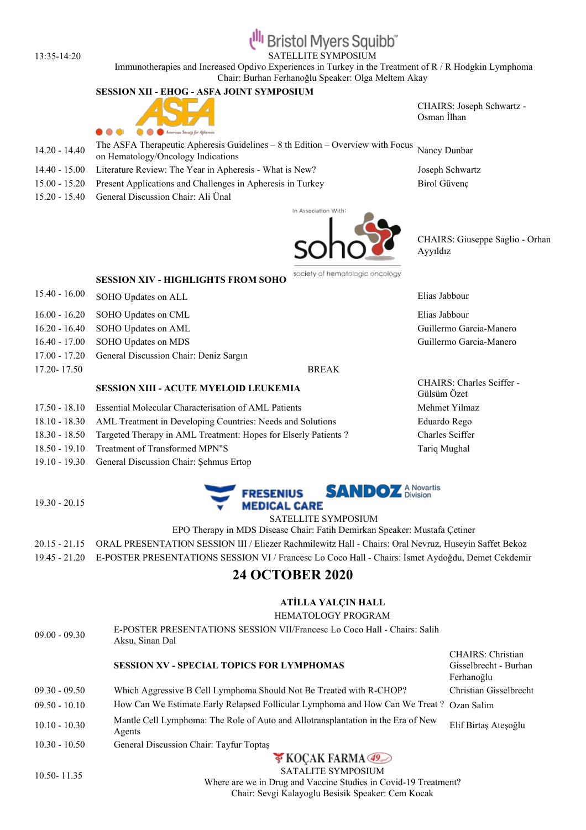# **Bristol Myers Squibb**

13:35-14:20 SATELLITE SYMPOSIUM

Immunotherapies and Increased Opdivo Experiences in Turkey in the Treatment of R / R Hodgkin Lymphoma Chair: Burhan Ferhanoğlu Speaker: Olga Meltem Akay

## **SESSION XII - EHOG - ASFA JOINT SYMPOSIUM**



- CHAIRS: Joseph Schwartz Osman İlhan
- 14.20 14.40 The ASFA Therapeutic Apheresis Guidelines – 8 th Edition – Overview with Focus Nancy Dunbar on Hematology/Oncology Indications
- 14.40 15.00 Literature Review: The Year in Apheresis What is New? Joseph Schwartz
- 15.00 15.20 Present Applications and Challenges in Apheresis in Turkey Birol Güvenç
- 15.20 15.40 General Discussion Chair: Ali Ünal





CHAIRS: Giuseppe Saglio - Orhan Ayyıldız

**SESSION XIV - HIGHLIGHTS FROM SOHO**

- 15.40 16.00 SOHO Updates on ALL Elias Jabbour
- 16.00 16.20 SOHO Updates on CML Elias Jabbour
- 16.20 16.40 SOHO Updates on AML Guillermo Garcia-Manero
- 16.40 17.00 SOHO Updates on MDS Guillermo Garcia-Manero
- 17.00 17.20 General Discussion Chair: Deniz Sargın
- 17.20- 17.50 BREAK

19.30 - 20.15

## **SESSION XIII - ACUTE MYELOID LEUKEMIA**

- 17.50 18.10 Essential Molecular Characterisation of AML Patients Mehmet Yilmaz
- 18.10 18.30 AML Treatment in Developing Countries: Needs and Solutions Eduardo Rego
- 18.30 18.50 Targeted Therapy in AML Treatment: Hopes for Elserly Patients ? Charles Sciffer
- 18.50 19.10 Treatment of Transformed MPN"S Tariq Mughal
- 19.10 19.30 General Discussion Chair: Şehmus Ertop



SATELLITE SYMPOSIUM

EPO Therapy in MDS Disease Chair: Fatih Demirkan Speaker: Mustafa Çetiner

20.15 - 21.15 ORAL PRESENTATION SESSION III / Eliezer Rachmilewitz Hall - Chairs: Oral Nevruz, Huseyin Saffet Bekoz

19.45 - 21.20 E-POSTER PRESENTATIONS SESSION VI / Francesc Lo Coco Hall - Chairs: İsmet Aydoğdu, Demet Cekdemir

# **24 OCTOBER 2020**

## **ATİLLA YALÇIN HALL**

#### HEMATOLOGY PROGRAM

09.00 - 09.30 E-POSTER PRESENTATIONS SESSION VII/Francesc Lo Coco Hall - Chairs: Salih Aksu, Sinan Dal

# **SESSION XV - SPECIAL TOPICS FOR LYMPHOMAS**

- 09.30 09.50 Which Aggressive B Cell Lymphoma Should Not Be Treated with R-CHOP? Christian Gisselbrecht 09.50 - 10.10 How Can We Estimate Early Relapsed Follicular Lymphoma and How Can We Treat ? Ozan Salim
- 10.10 10.30 Mantle Cell Lymphoma: The Role of Auto and Allotransplantation in the Era of New
- Elif Birtaş Ateşoğlu

CHAIRS: Christian Gisselbrecht - Burhan

Ferhanoğlu

10.30 - 10.50 General Discussion Chair: Tayfur Toptaş

Agents

**V KOCAK FARMA** SATALITE SYMPOSIUM

10.50- 11.35

Where are we in Drug and Vaccine Studies in Covid-19 Treatment? Chair: Sevgi Kalayoglu Besisik Speaker: Cem Kocak

CHAIRS: Charles Sciffer -

Gülsüm Özet